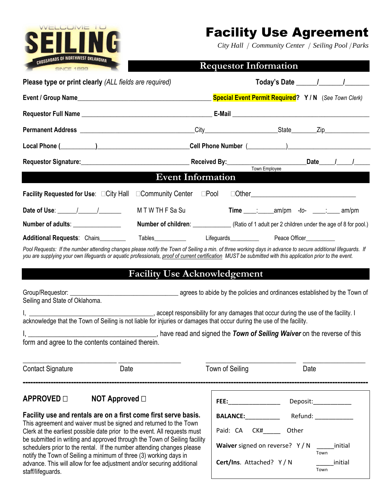

# Facility Use Agreement

*City Hall Community Center Seiling Pool Parks*

|  | <b>Requestor Information</b> |
|--|------------------------------|
|--|------------------------------|

| Please type or print clearly (ALL fields are required)                                                                                                                                                                         |                     |  |                                                                                 |  | Today's Date $\frac{1}{\sqrt{1-\frac{1}{2}}}\frac{1}{\sqrt{1-\frac{1}{2}}}\frac{1}{\sqrt{1-\frac{1}{2}}}\frac{1}{\sqrt{1-\frac{1}{2}}}\frac{1}{\sqrt{1-\frac{1}{2}}}\frac{1}{\sqrt{1-\frac{1}{2}}}\frac{1}{\sqrt{1-\frac{1}{2}}}\frac{1}{\sqrt{1-\frac{1}{2}}}\frac{1}{\sqrt{1-\frac{1}{2}}}\frac{1}{\sqrt{1-\frac{1}{2}}}\frac{1}{\sqrt{1-\frac{1}{2}}}\frac{1}{\sqrt{1-\frac{1}{2}}}\frac{1}{\sqrt{1-\frac{1}{2$ |  |
|--------------------------------------------------------------------------------------------------------------------------------------------------------------------------------------------------------------------------------|---------------------|--|---------------------------------------------------------------------------------|--|--------------------------------------------------------------------------------------------------------------------------------------------------------------------------------------------------------------------------------------------------------------------------------------------------------------------------------------------------------------------------------------------------------------------|--|
|                                                                                                                                                                                                                                |                     |  | <b>Special Event Permit Required?</b> Y / N (See Town Clerk)                    |  |                                                                                                                                                                                                                                                                                                                                                                                                                    |  |
|                                                                                                                                                                                                                                |                     |  |                                                                                 |  |                                                                                                                                                                                                                                                                                                                                                                                                                    |  |
|                                                                                                                                                                                                                                |                     |  |                                                                                 |  |                                                                                                                                                                                                                                                                                                                                                                                                                    |  |
| Local Phone (Channel Collection Cell Phone Number (Channel Collection 2)                                                                                                                                                       |                     |  |                                                                                 |  |                                                                                                                                                                                                                                                                                                                                                                                                                    |  |
| Requestor Signature:<br>Received By:  Neceived By:  Town Employee  Convertible Convertible Convertible Convertible Convertible Convertible Convertible Convertible Convertible Convertible Convertible Convertible Convertible |                     |  |                                                                                 |  |                                                                                                                                                                                                                                                                                                                                                                                                                    |  |
| <b>Event Information</b>                                                                                                                                                                                                       |                     |  |                                                                                 |  |                                                                                                                                                                                                                                                                                                                                                                                                                    |  |
| Facility Requested for Use: □City Hall □Community Center □Pool □Other______________________________                                                                                                                            |                     |  |                                                                                 |  |                                                                                                                                                                                                                                                                                                                                                                                                                    |  |
|                                                                                                                                                                                                                                | M T W TH F Sa Su    |  | $Time \_\_\_\_\_\_\_\_\_\_\_\_\_$ am/pm -to- $\_\_\_\_\_\_\_\_\_\_\_\_\_$ am/pm |  |                                                                                                                                                                                                                                                                                                                                                                                                                    |  |
| Number of adults: ________________                                                                                                                                                                                             |                     |  |                                                                                 |  |                                                                                                                                                                                                                                                                                                                                                                                                                    |  |
| Additional Requests: Chairs________                                                                                                                                                                                            | Tables_____________ |  | Lifeguards_____________   Peace Officer___________                              |  |                                                                                                                                                                                                                                                                                                                                                                                                                    |  |

Pool Requests: If the number attending changes please notify the Town of Seiling a min. of three working days in advance to secure additional lifeguards. If *you are supplying your own lifeguards or aquatic professionals, proof of current certification MUST be submitted with this application prior to the event.*

## **Facility Use Acknowledgement**

| Group/Requestor:               | agrees to abide by the policies and ordinances established by the Town of |
|--------------------------------|---------------------------------------------------------------------------|
| Seiling and State of Oklahoma. |                                                                           |

I, \_\_\_\_\_\_\_\_\_\_\_\_\_\_\_\_\_\_\_\_\_\_\_\_\_\_\_\_\_\_\_\_\_\_\_\_\_\_\_, accept responsibility for any damages that occur during the use of the facility. I acknowledge that the Town of Seiling is not liable for injuries or damages that occur during the use of the facility.

I, \_\_\_\_\_\_\_\_\_\_\_\_\_\_\_\_\_\_\_\_\_\_\_\_\_\_\_\_\_\_\_\_\_\_\_\_\_, have read and signed the *Town of Seiling Waiver* on the reverse of this form and agree to the contents contained therein.

----------------------------------------------------------------------------------------------------------------------------------------

Contact Signature **Contact Signature** Date Date **Date** Town of Seiling **Date** 

\_\_\_\_\_\_\_\_\_\_\_\_\_\_\_\_\_\_\_\_\_\_\_\_\_\_\_ \_\_\_\_\_\_\_\_\_\_\_\_\_\_\_\_\_\_ \_\_\_\_\_\_\_\_\_\_\_\_\_\_\_\_\_\_\_\_\_\_\_\_\_\_ \_\_\_\_\_\_\_\_\_\_\_\_\_\_\_\_\_\_

### **APPROVED** □ **NOT Approved** □

**Facility use and rentals are on a first come first serve basis.**  This agreement and waiver must be signed and returned to the Town Clerk at the earliest possible date prior to the event. All requests must be submitted in writing and approved through the Town of Seiling facility schedulers prior to the rental. If the number attending changes please notify the Town of Seiling a minimum of three (3) working days in advance. This will allow for fee adjustment and/or securing additional staff/lifeguards.

| <b>FEE:</b>                                               | Deposit:         |  |  |
|-----------------------------------------------------------|------------------|--|--|
| <b>BALANCE:</b>                                           | Refund: ________ |  |  |
| Paid: CA<br>CK#                                           | Other            |  |  |
| <b>Waiver</b> signed on reverse? $Y/N$<br>initial<br>Town |                  |  |  |
| <b>Cert/Ins.</b> Attached? $Y/N$                          | initial<br>Town  |  |  |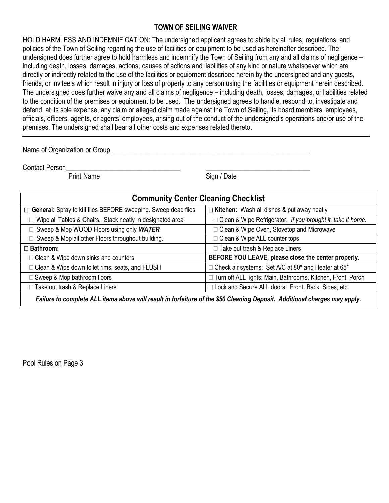#### **TOWN OF SEILING WAIVER**

HOLD HARMLESS AND INDEMNIFICATION: The undersigned applicant agrees to abide by all rules, regulations, and policies of the Town of Seiling regarding the use of facilities or equipment to be used as hereinafter described. The undersigned does further agree to hold harmless and indemnify the Town of Seiling from any and all claims of negligence – including death, losses, damages, actions, causes of actions and liabilities of any kind or nature whatsoever which are directly or indirectly related to the use of the facilities or equipment described herein by the undersigned and any guests, friends, or invitee's which result in injury or loss of property to any person using the facilities or equipment herein described. The undersigned does further waive any and all claims of negligence – including death, losses, damages, or liabilities related to the condition of the premises or equipment to be used. The undersigned agrees to handle, respond to, investigate and defend, at its sole expense, any claim or alleged claim made against the Town of Seiling, its board members, employees, officials, officers, agents, or agents' employees, arising out of the conduct of the undersigned's operations and/or use of the premises. The undersigned shall bear all other costs and expenses related thereto.

Name of Organization or Group **example 20 and 20 and 20 and 20 and 20 and 20 and 20 and 20 and 20 and 20 and 20** 

Contact Person

Print Name Sign / Date

| <b>Community Center Cleaning Checklist</b>                                                                                |                                                               |  |  |  |
|---------------------------------------------------------------------------------------------------------------------------|---------------------------------------------------------------|--|--|--|
| □ General: Spray to kill flies BEFORE sweeping. Sweep dead flies                                                          | $\Box$ Kitchen: Wash all dishes & put away neatly             |  |  |  |
| Wipe all Tables & Chairs. Stack neatly in designated area                                                                 | □ Clean & Wipe Refrigerator. If you brought it, take it home. |  |  |  |
| Sweep & Mop WOOD Floors using only WATER                                                                                  | □ Clean & Wipe Oven, Stovetop and Microwave                   |  |  |  |
| Sweep & Mop all other Floors throughout building.                                                                         | □ Clean & Wipe ALL counter tops                               |  |  |  |
| □ Bathroom:                                                                                                               | □ Take out trash & Replace Liners                             |  |  |  |
| $\Box$ Clean & Wipe down sinks and counters                                                                               | BEFORE YOU LEAVE, please close the center properly.           |  |  |  |
| □ Clean & Wipe down toilet rims, seats, and FLUSH                                                                         | $\Box$ Check air systems: Set A/C at 80* and Heater at 65*    |  |  |  |
| Sweep & Mop bathroom floors                                                                                               | □ Turn off ALL lights: Main, Bathrooms, Kitchen, Front Porch  |  |  |  |
| □ Take out trash & Replace Liners                                                                                         | I Lock and Secure ALL doors. Front, Back, Sides, etc.         |  |  |  |
| Failure to complete ALL items above will result in forfeiture of the \$50 Cleaning Deposit. Additional charges may apply. |                                                               |  |  |  |

Pool Rules on Page 3